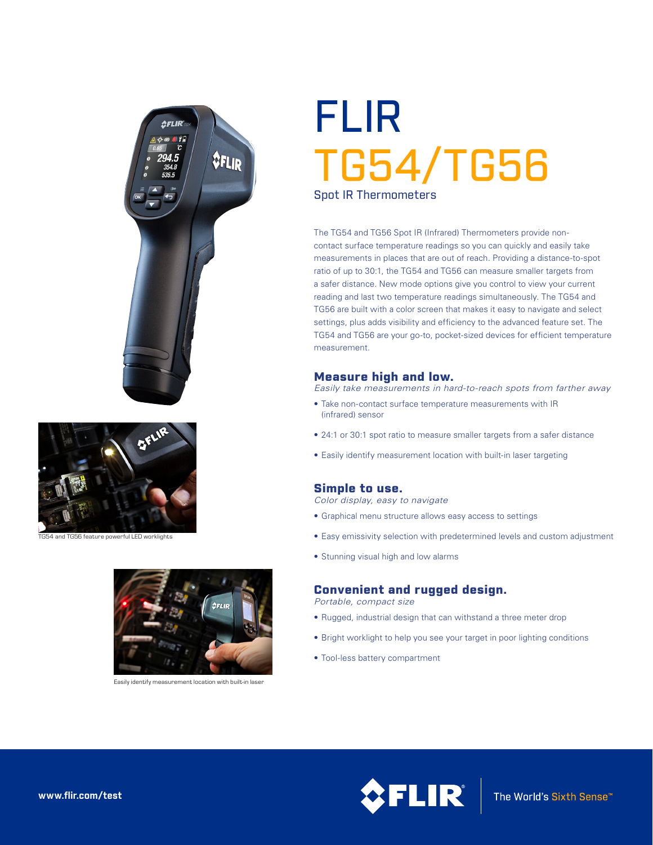



TG54 and TG56 feature powerful LED worklights



Easily identify measurement location with built-in laser

# FLIR TG54/TG56 Spot IR Thermometers

The TG54 and TG56 Spot IR (Infrared) Thermometers provide noncontact surface temperature readings so you can quickly and easily take measurements in places that are out of reach. Providing a distance-to-spot ratio of up to 30:1, the TG54 and TG56 can measure smaller targets from a safer distance. New mode options give you control to view your current reading and last two temperature readings simultaneously. The TG54 and TG56 are built with a color screen that makes it easy to navigate and select settings, plus adds visibility and efficiency to the advanced feature set. The TG54 and TG56 are your go-to, pocket-sized devices for efficient temperature measurement.

## Measure high and low.

*Easily take measurements in hard-to-reach spots from farther away*

- Take non-contact surface temperature measurements with IR (infrared) sensor
- 24:1 or 30:1 spot ratio to measure smaller targets from a safer distance
- Easily identify measurement location with built-in laser targeting

# Simple to use.

*Color display, easy to navigate*

- Graphical menu structure allows easy access to settings
- Easy emissivity selection with predetermined levels and custom adjustment
- Stunning visual high and low alarms

## Convenient and rugged design.

*Portable, compact size*

- Rugged, industrial design that can withstand a three meter drop
- Bright worklight to help you see your target in poor lighting conditions
- Tool-less battery compartment